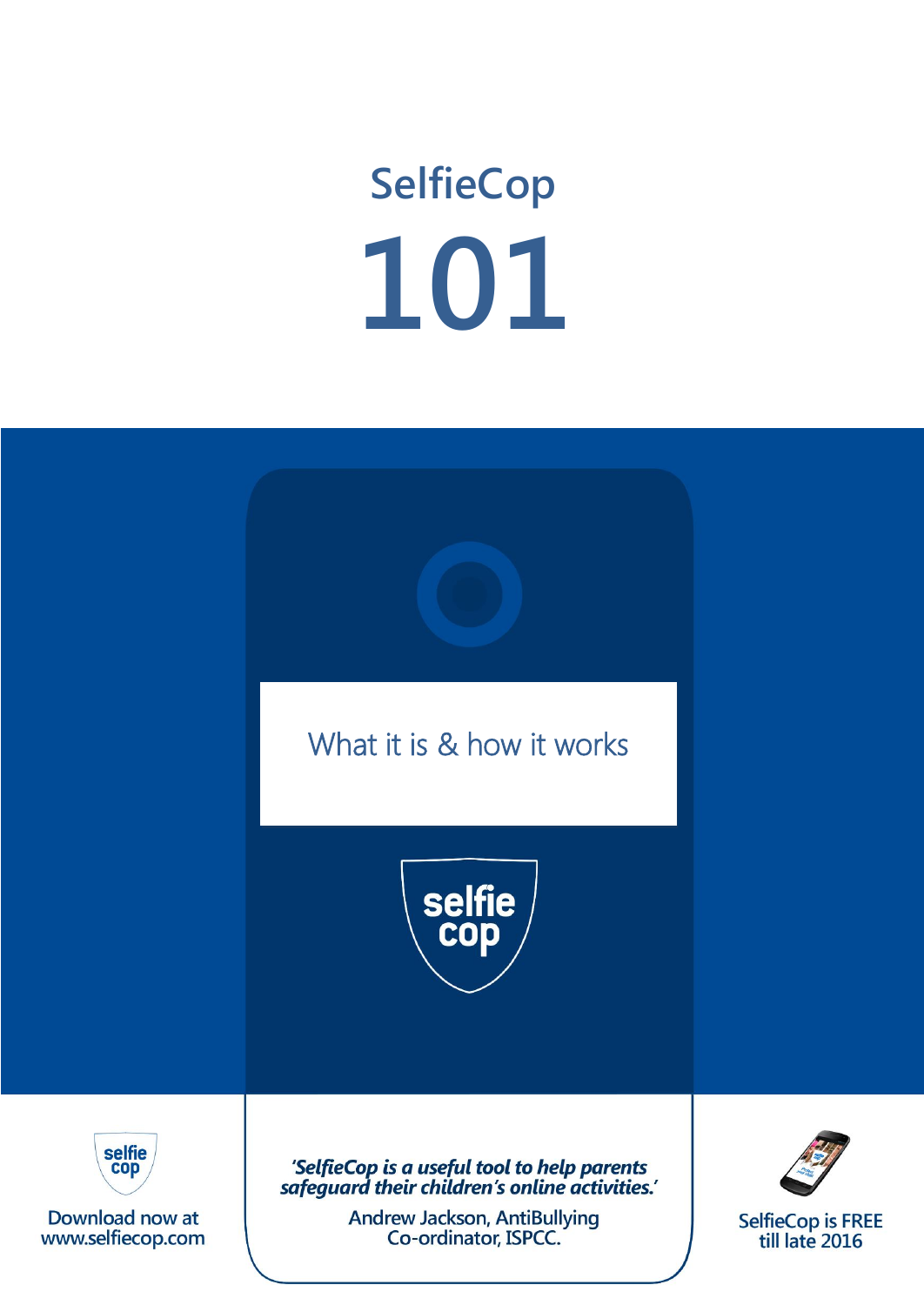# **SelfieCop 101**

# What it is & how it works





'SelfieCop is a useful tool to help parents<br>safeguard their children's online activities.'

SelfieCop Limited is a private company limited by shares. Registered number: 558746. Registered address: 25 Joyce Road, Luskin, Antibanying. Prime and Directors: Senie

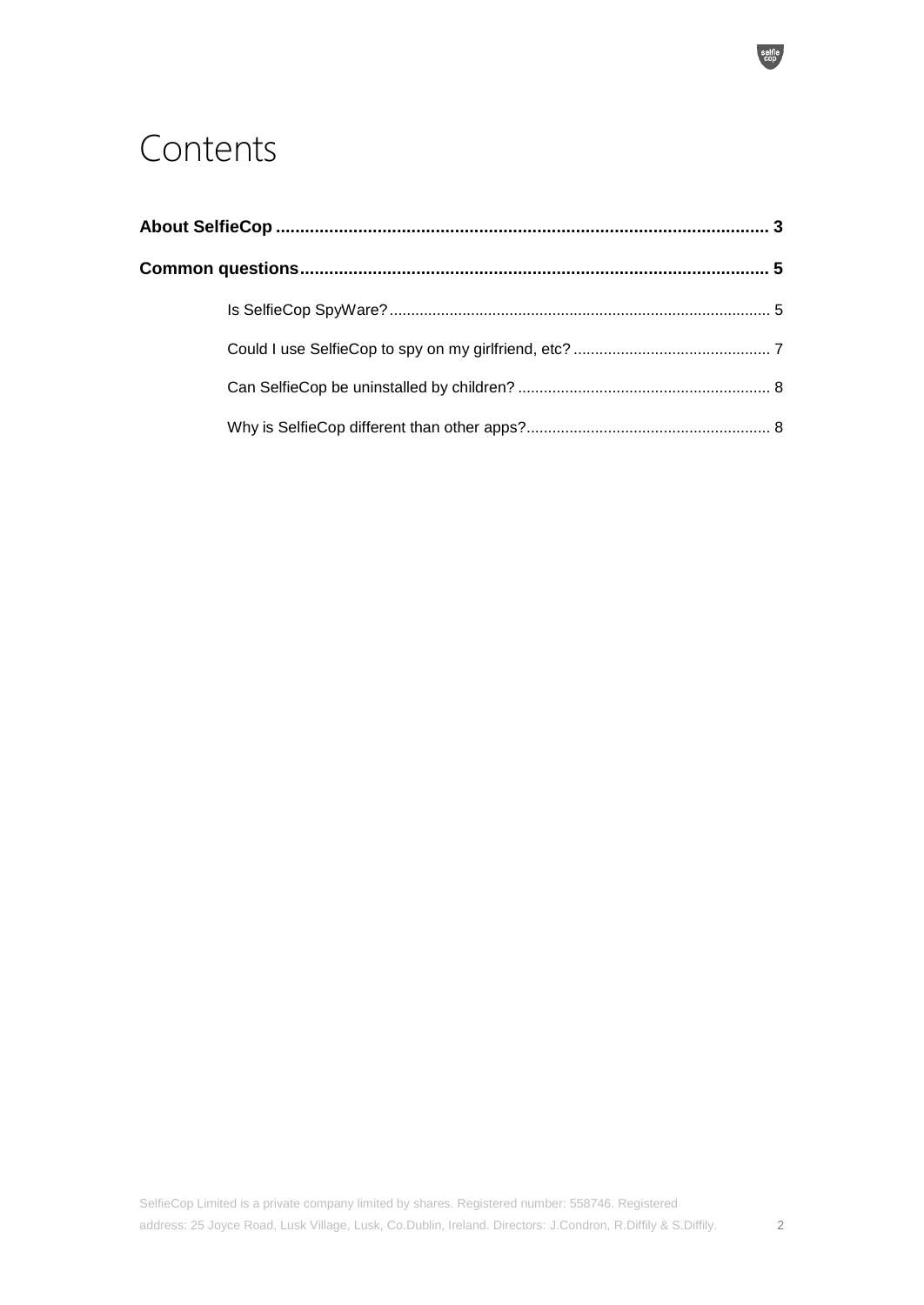# Contents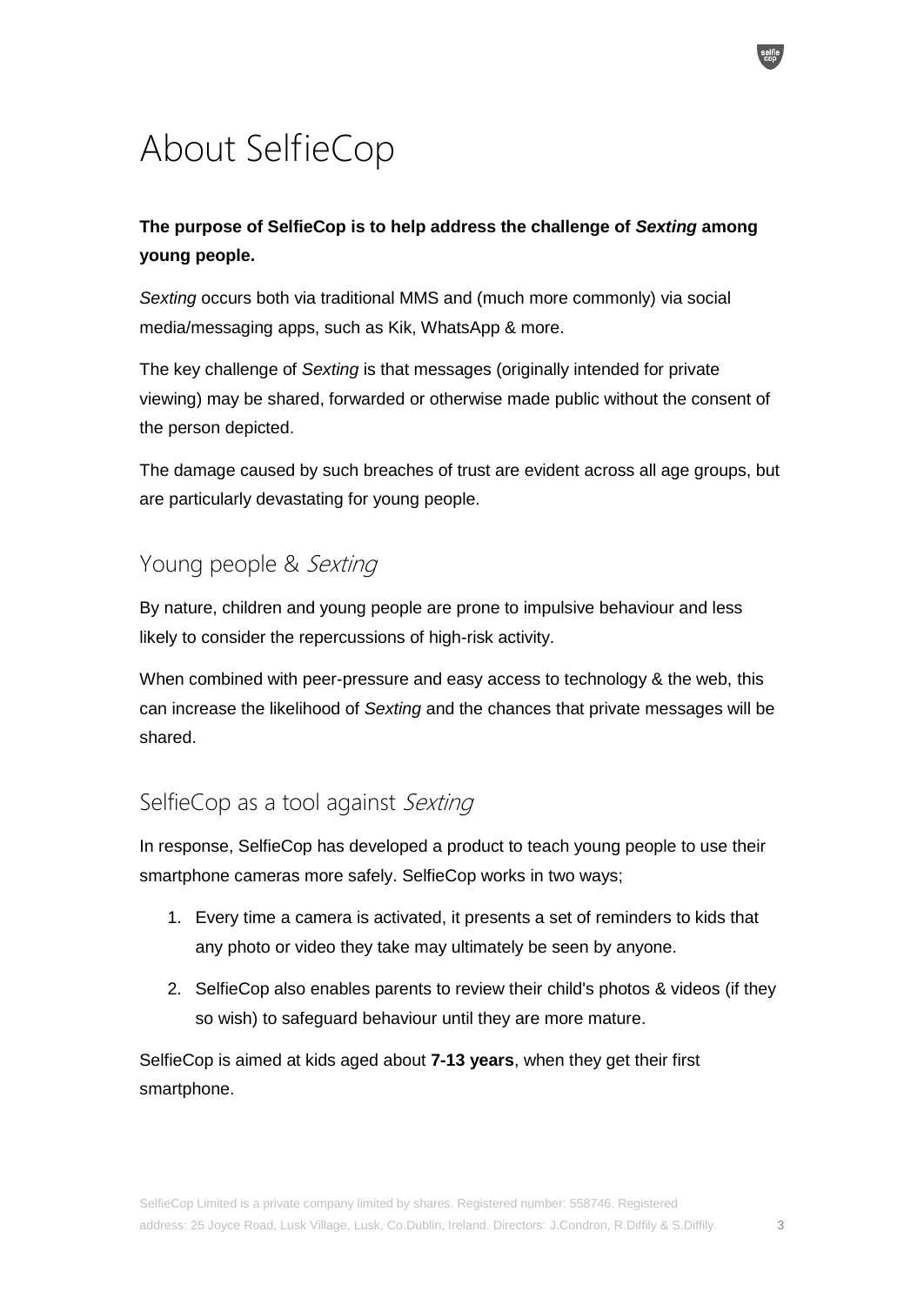# About SelfieCop

#### **The purpose of SelfieCop is to help address the challenge of** *Sexting* **among young people.**

*Sexting* occurs both via traditional MMS and (much more commonly) via social media/messaging apps, such as Kik, WhatsApp & more.

The key challenge of *Sexting* is that messages (originally intended for private viewing) may be shared, forwarded or otherwise made public without the consent of the person depicted.

The damage caused by such breaches of trust are evident across all age groups, but are particularly devastating for young people.

## Young people & Sexting

By nature, children and young people are prone to impulsive behaviour and less likely to consider the repercussions of high-risk activity.

When combined with peer-pressure and easy access to technology & the web, this can increase the likelihood of *Sexting* and the chances that private messages will be shared.

## SelfieCop as a tool against Sexting

In response, SelfieCop has developed a product to teach young people to use their smartphone cameras more safely. SelfieCop works in two ways;

- 1. Every time a camera is activated, it presents a set of reminders to kids that any photo or video they take may ultimately be seen by anyone.
- 2. SelfieCop also enables parents to review their child's photos & videos (if they so wish) to safeguard behaviour until they are more mature.

SelfieCop is aimed at kids aged about **7-13 years**, when they get their first smartphone.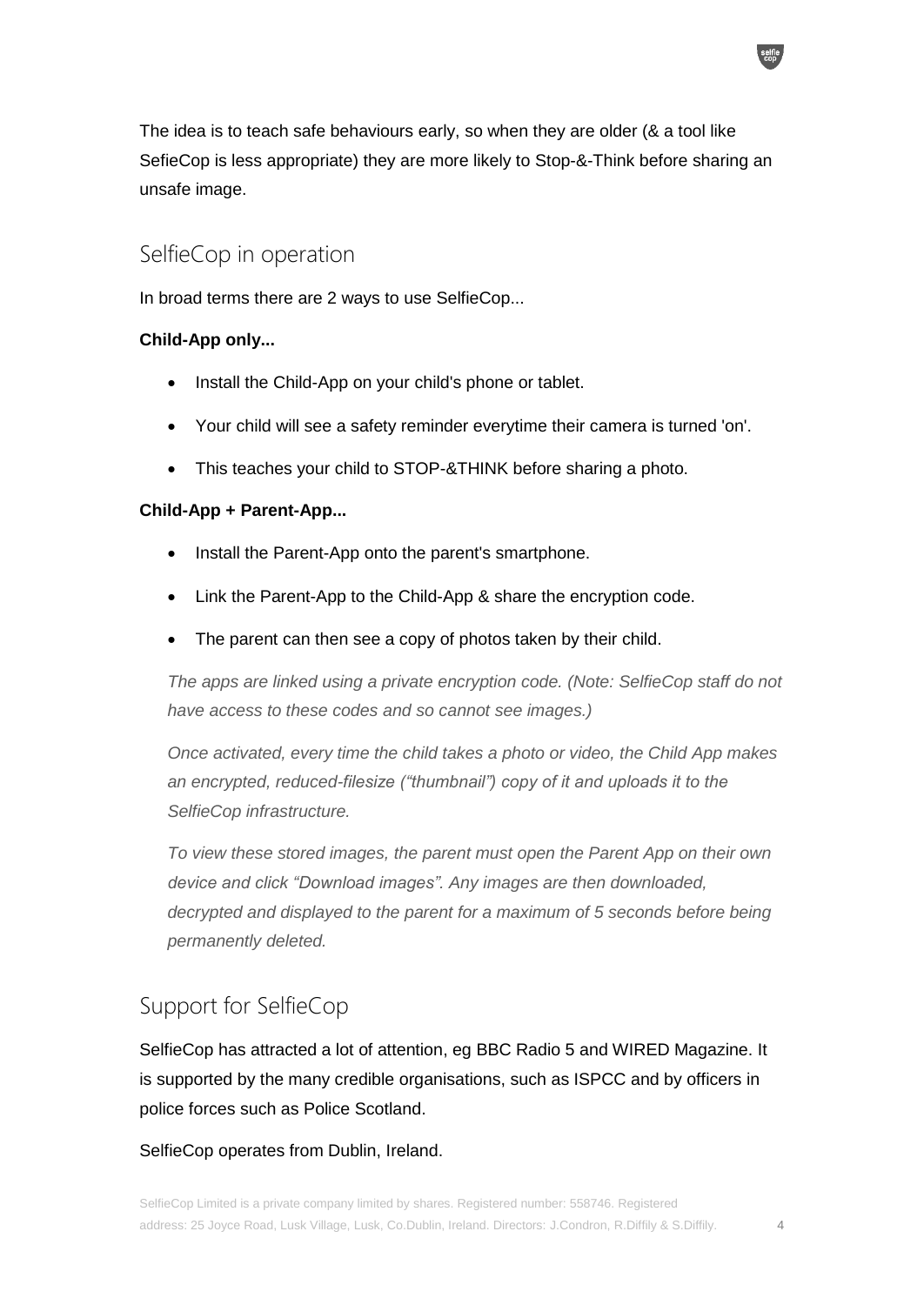The idea is to teach safe behaviours early, so when they are older (& a tool like SefieCop is less appropriate) they are more likely to Stop-&-Think before sharing an unsafe image.

#### SelfieCop in operation

In broad terms there are 2 ways to use SelfieCop...

#### **Child-App only...**

- Install the Child-App on your child's phone or tablet.
- Your child will see a safety reminder everytime their camera is turned 'on'.
- This teaches your child to STOP-&THINK before sharing a photo.

#### **Child-App + Parent-App...**

- Install the Parent-App onto the parent's smartphone.
- Link the Parent-App to the Child-App & share the encryption code.
- The parent can then see a copy of photos taken by their child.

*The apps are linked using a private encryption code. (Note: SelfieCop staff do not have access to these codes and so cannot see images.)*

*Once activated, every time the child takes a photo or video, the Child App makes an encrypted, reduced-filesize ("thumbnail") copy of it and uploads it to the SelfieCop infrastructure.*

*To view these stored images, the parent must open the Parent App on their own device and click "Download images". Any images are then downloaded, decrypted and displayed to the parent for a maximum of 5 seconds before being permanently deleted.*

## Support for SelfieCop

SelfieCop has attracted a lot of attention, eg BBC Radio 5 and WIRED Magazine. It is supported by the many credible organisations, such as ISPCC and by officers in police forces such as Police Scotland.

#### SelfieCop operates from Dublin, Ireland.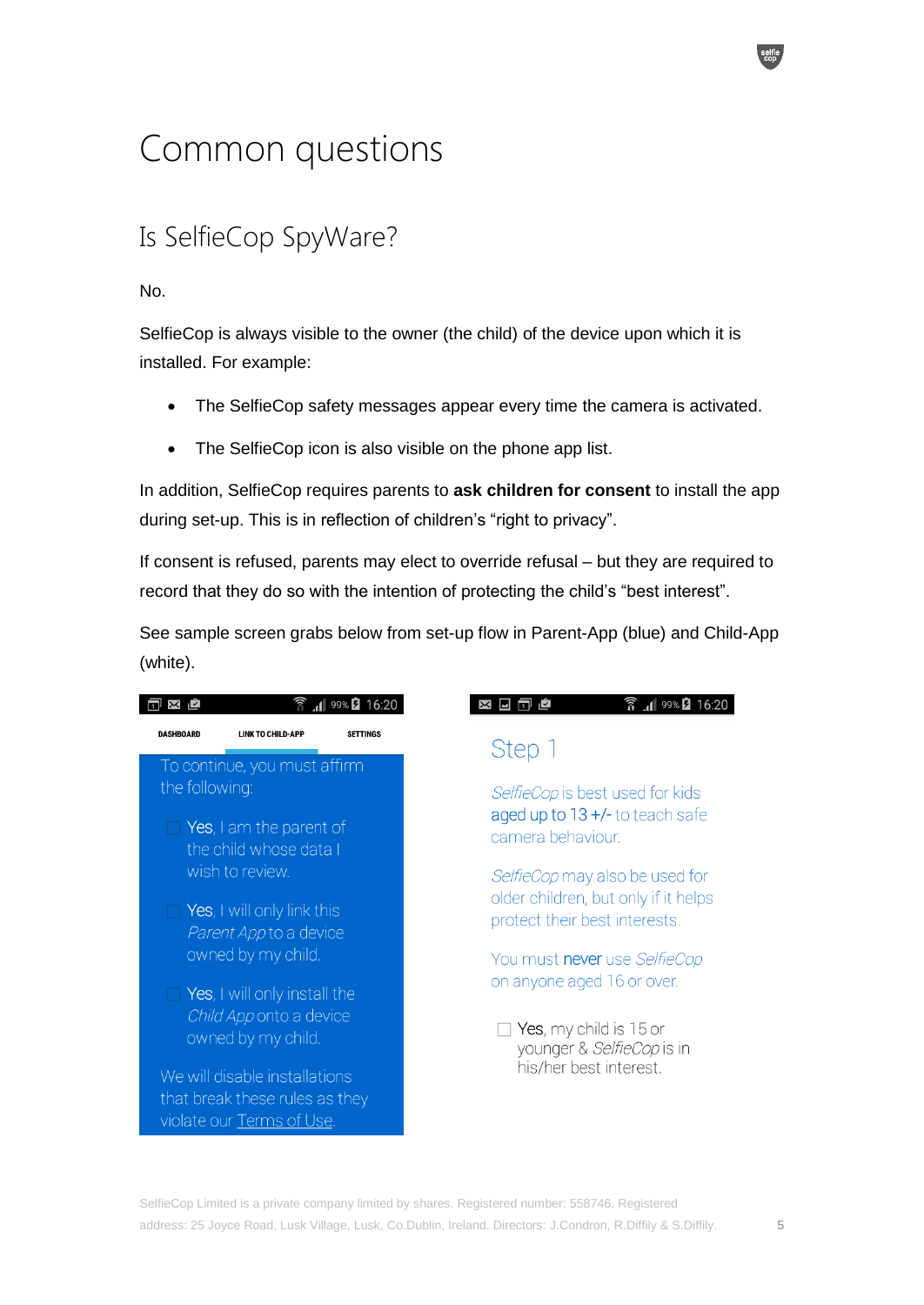# Common questions

# Is SelfieCop SpyWare?

#### No.

SelfieCop is always visible to the owner (the child) of the device upon which it is installed. For example:

- The SelfieCop safety messages appear every time the camera is activated.
- The SelfieCop icon is also visible on the phone app list.

In addition, SelfieCop requires parents to **ask children for consent** to install the app during set-up. This is in reflection of children's "right to privacy".

If consent is refused, parents may elect to override refusal – but they are required to record that they do so with the intention of protecting the child's "best interest".

See sample screen grabs below from set-up flow in Parent-App (blue) and Child-App (white).

| 16:20<br>র                                                      | $\widehat{3}$ $\widehat{4}$ 99% $\widehat{2}$ 16:20<br>Ľ.             |
|-----------------------------------------------------------------|-----------------------------------------------------------------------|
| <b>DASHBOARD</b><br><b>SETTINGS</b><br>LINK TO CHILD-APP        | Step 1                                                                |
| To continue, you must affirm                                    |                                                                       |
| the following:                                                  | SelfieCop is best used for kids<br>aged up to 13 +/- to teach safe    |
| $\Box$ Yes, I am the parent of<br>the child whose data I        | camera behaviour.                                                     |
| wish to review.                                                 | SelfieCop may also be used for                                        |
| $\Box$ Yes, I will only link this<br>Parent App to a device     | older children, but only if it helps<br>protect their best interests. |
| owned by my child.                                              | You must never use SelfieCop                                          |
| $\Box$ Yes, I will only install the                             | on anyone aged 16 or over.                                            |
| Child App onto a device<br>owned by my child.                   | Yes, my child is 15 or<br>younger & SelfieCop is in                   |
| We will disable installations<br>that break these rules as they | his/her best interest.                                                |
| violate our Terms of Use.                                       |                                                                       |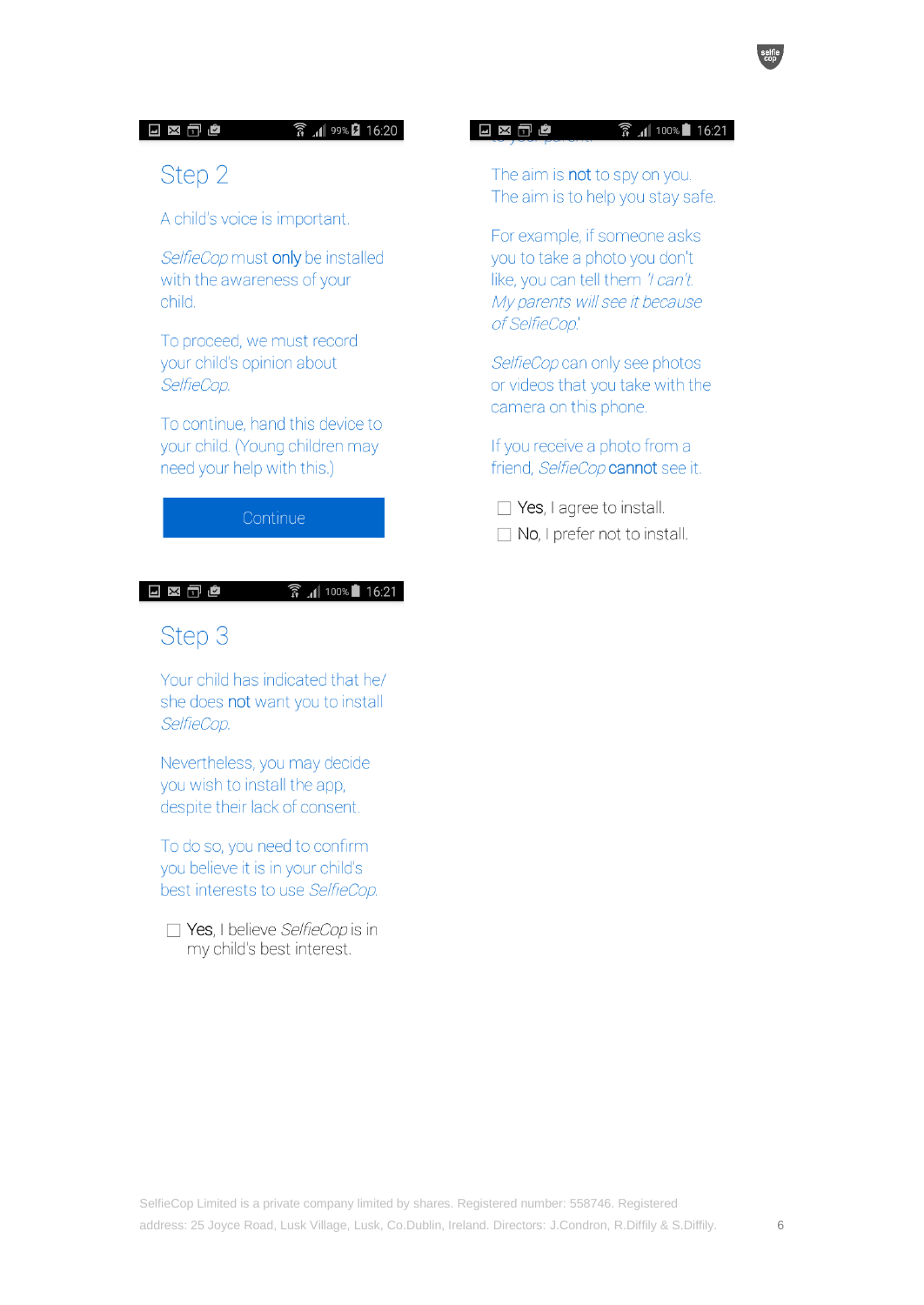#### ◘ ਲ ⊡ ૯

#### 3. 199% 2 16:20

### Step 2

A child's voice is important.

SelfieCop must only be installed with the awareness of your child

To proceed, we must record your child's opinion about SelfieCop.

To continue, hand this device to your child. (Young children may need your help with this.)

#### Continue

#### ◘ ∞ ๗ ๕

#### $\widehat{3}$   $\parallel$  100% 16:21

## Step 3

Your child has indicated that he/ she does not want you to install SelfieCop.

Nevertheless, you may decide you wish to install the app, despite their lack of consent.

To do so, you need to confirm you believe it is in your child's best interests to use SelfieCop.

 $\Box$  Yes, I believe *SelfieCop* is in my child's best interest.

#### ◪ਲ਼ਜ਼ਁਁ  $\widehat{R}$   $\parallel$  100% 16:21

The aim is not to spy on you. The aim is to help you stay safe.

For example, if someone asks you to take a photo you don't like, you can tell them '/ can't. My parents will see it because of SelfieCop!

SelfieCop can only see photos or videos that you take with the camera on this phone.

If you receive a photo from a friend, SelfieCop cannot see it.

 $\Box$  Yes, I agree to install.

 $\Box$  No, I prefer not to install.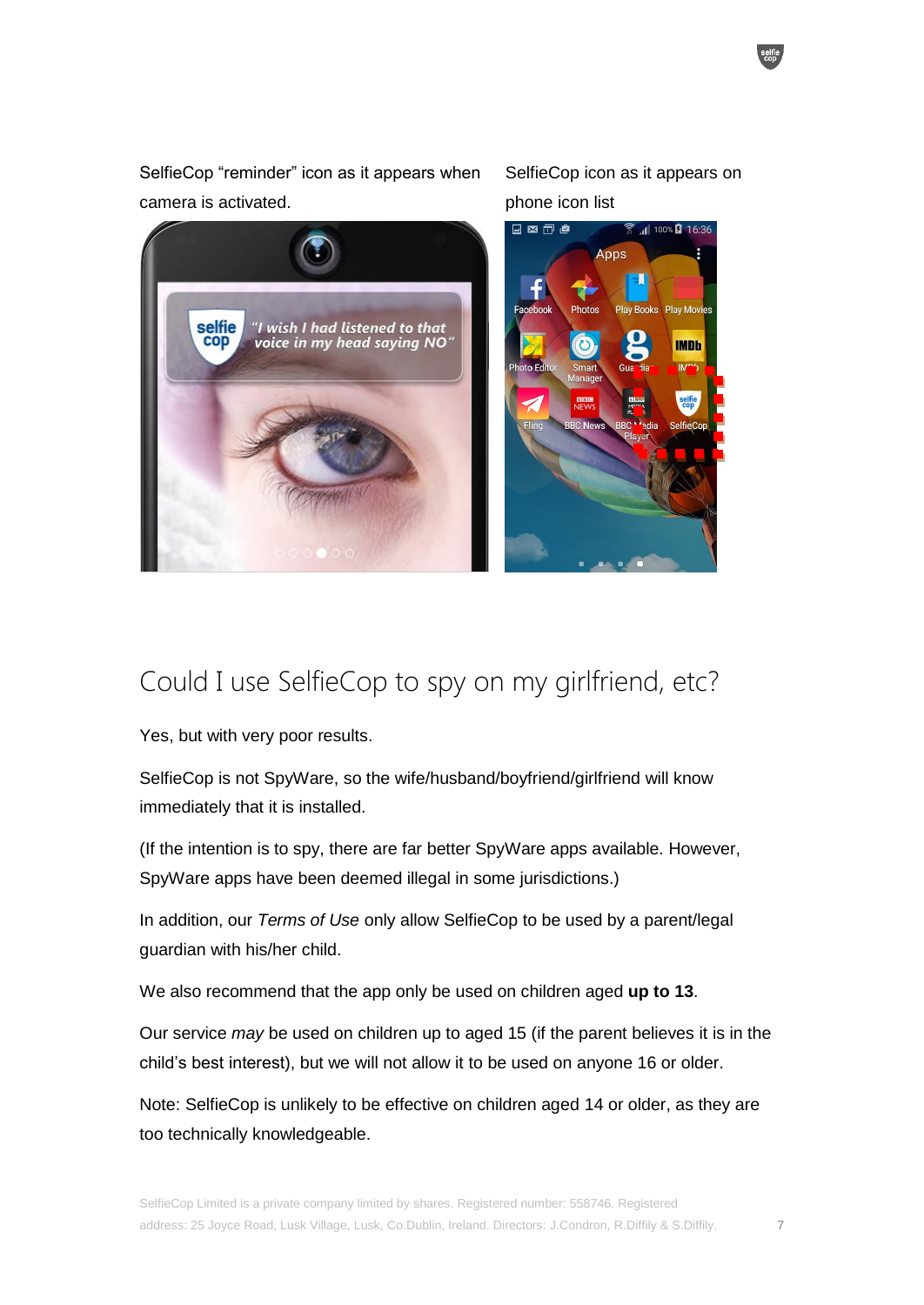SelfieCop "reminder" icon as it appears when camera is activated.

SelfieCop icon as it appears on phone icon list



# Could I use SelfieCop to spy on my girlfriend, etc?

Yes, but with very poor results.

SelfieCop is not SpyWare, so the wife/husband/boyfriend/girlfriend will know immediately that it is installed.

(If the intention is to spy, there are far better SpyWare apps available. However, SpyWare apps have been deemed illegal in some jurisdictions.)

In addition, our *Terms of Use* only allow SelfieCop to be used by a parent/legal guardian with his/her child.

We also recommend that the app only be used on children aged **up to 13**.

Our service *may* be used on children up to aged 15 (if the parent believes it is in the child's best interest), but we will not allow it to be used on anyone 16 or older.

Note: SelfieCop is unlikely to be effective on children aged 14 or older, as they are too technically knowledgeable.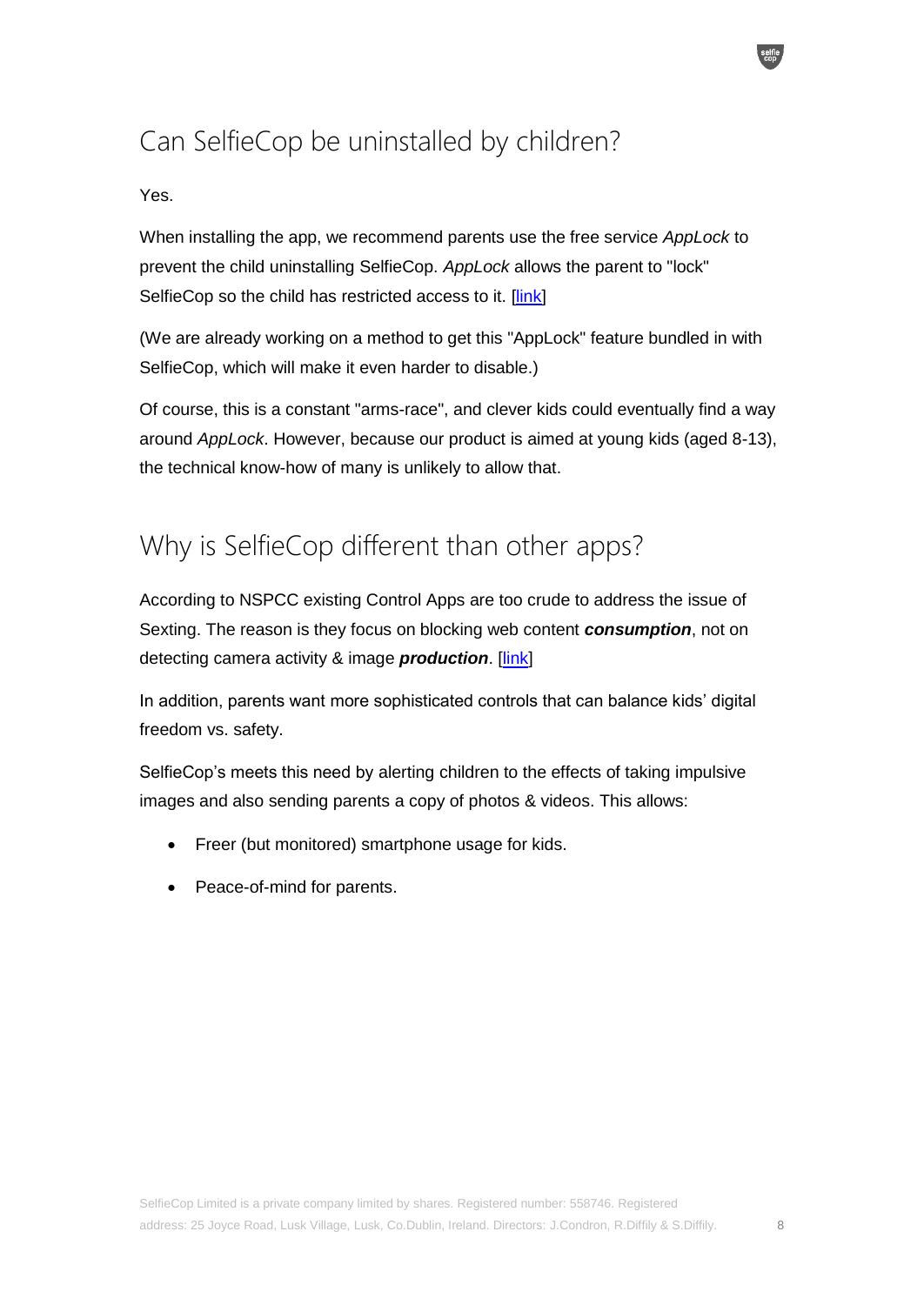# Can SelfieCop be uninstalled by children?

#### Yes.

When installing the app, we recommend parents use the free service *AppLock* to prevent the child uninstalling SelfieCop. *AppLock* allows the parent to "lock" SelfieCop so the child has restricted access to it. [\[link\]](https://play.google.com/store/apps/details?id=com.thinkyeah.smartlockfree)

(We are already working on a method to get this "AppLock" feature bundled in with SelfieCop, which will make it even harder to disable.)

Of course, this is a constant "arms-race", and clever kids could eventually find a way around *AppLock*. However, because our product is aimed at young kids (aged 8-13), the technical know-how of many is unlikely to allow that.

# Why is SelfieCop different than other apps?

According to NSPCC existing Control Apps are too crude to address the issue of Sexting. The reason is they focus on blocking web content *consumption*, not on detecting camera activity & image **production**. [\[link\]](http://www.nspcc.org.uk/globalassets/documents/research-reports/qualitative-study-children-young-people-sexting-report.pdf)

In addition, parents want more sophisticated controls that can balance kids' digital freedom vs. safety.

SelfieCop's meets this need by alerting children to the effects of taking impulsive images and also sending parents a copy of photos & videos. This allows:

- Freer (but monitored) smartphone usage for kids.
- Peace-of-mind for parents.